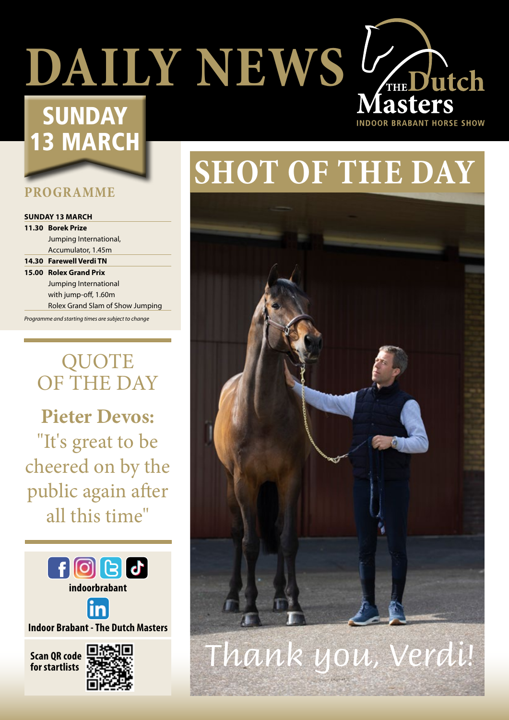# **DAILY NEWS V<sub>THE</sub> Dutch**

### **SUNDAY** 13 MARCH

### **PROGRAMME**

### **SUNDAY 13 MARCH**

**11.30 Borek Prize** Jumping International, Accumulator, 1.45m

**14.30 Farewell Verdi TN 15.00 Rolex Grand Prix** Jumping International with jump-off, 1.60m

Rolex Grand Slam of Show Jumping

*Programme and starting times are subject to change*

### QUOTE OF THE DAY

**Pieter Devos:** "It's great to be cheered on by the public again after all this time"





**Indoor Brabant - The Dutch Masters**

**Scan QR code** 



## **SHOT OF THE DAY**

**OOR BRABANT HORSE SHOW** 



### **for startlists** *Thank you, Verdi!*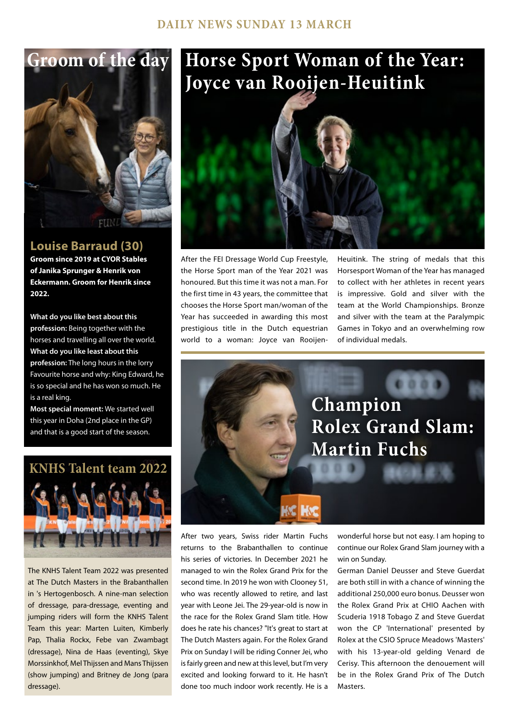# **Groom of the day**

### **Louise Barraud (30)**

**Groom since 2019 at CYOR Stables of Janika Sprunger & Henrik von Eckermann. Groom for Henrik since 2022.**

**What do you like best about this profession:** Being together with the horses and travelling all over the world. **What do you like least about this profession:** The long hours in the lorry Favourite horse and why: King Edward, he is so special and he has won so much. He is a real king.

**Most special moment:** We started well this year in Doha (2nd place in the GP) and that is a good start of the season.



The KNHS Talent Team 2022 was presented at The Dutch Masters in the Brabanthallen in 's Hertogenbosch. A nine-man selection of dressage, para-dressage, eventing and jumping riders will form the KNHS Talent Team this year: Marten Luiten, Kimberly Pap, Thalia Rockx, Febe van Zwambagt (dressage), Nina de Haas (eventing), Skye Morssinkhof, Mel Thijssen and Mans Thijssen (show jumping) and Britney de Jong (para dressage).

### **Horse Sport Woman of the Year: Joyce van Rooijen-Heuitink**



After the FEI Dressage World Cup Freestyle, the Horse Sport man of the Year 2021 was honoured. But this time it was not a man. For the first time in 43 years, the committee that chooses the Horse Sport man/woman of the Year has succeeded in awarding this most prestigious title in the Dutch equestrian world to a woman: Joyce van RooijenHeuitink. The string of medals that this Horsesport Woman of the Year has managed to collect with her athletes in recent years is impressive. Gold and silver with the team at the World Championships. Bronze and silver with the team at the Paralympic Games in Tokyo and an overwhelming row of individual medals.



After two years, Swiss rider Martin Fuchs returns to the Brabanthallen to continue his series of victories. In December 2021 he managed to win the Rolex Grand Prix for the second time. In 2019 he won with Clooney 51, who was recently allowed to retire, and last year with Leone Jei. The 29-year-old is now in the race for the Rolex Grand Slam title. How does he rate his chances? "It's great to start at The Dutch Masters again. For the Rolex Grand Prix on Sunday I will be riding Conner Jei, who is fairly green and new at this level, but I'm very excited and looking forward to it. He hasn't done too much indoor work recently. He is a

wonderful horse but not easy. I am hoping to continue our Rolex Grand Slam journey with a win on Sunday.

German Daniel Deusser and Steve Guerdat are both still in with a chance of winning the additional 250,000 euro bonus. Deusser won the Rolex Grand Prix at CHIO Aachen with Scuderia 1918 Tobago Z and Steve Guerdat won the CP 'International' presented by Rolex at the CSIO Spruce Meadows 'Masters' with his 13-year-old gelding Venard de Cerisy. This afternoon the denouement will be in the Rolex Grand Prix of The Dutch **Masters**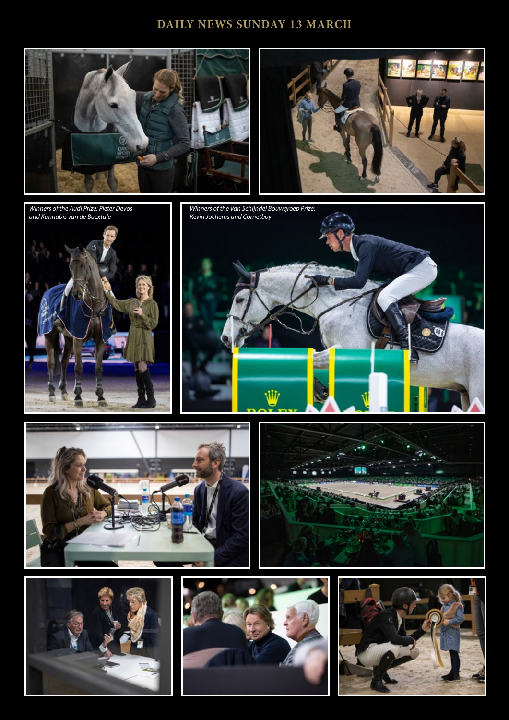### **DAILY NEWS SUNDAY 13 MARCH**





*Winners of the Audi Prize: Pieter Devos and Kannabis van de Bucxtale* 





H x

**STE** 

7٦